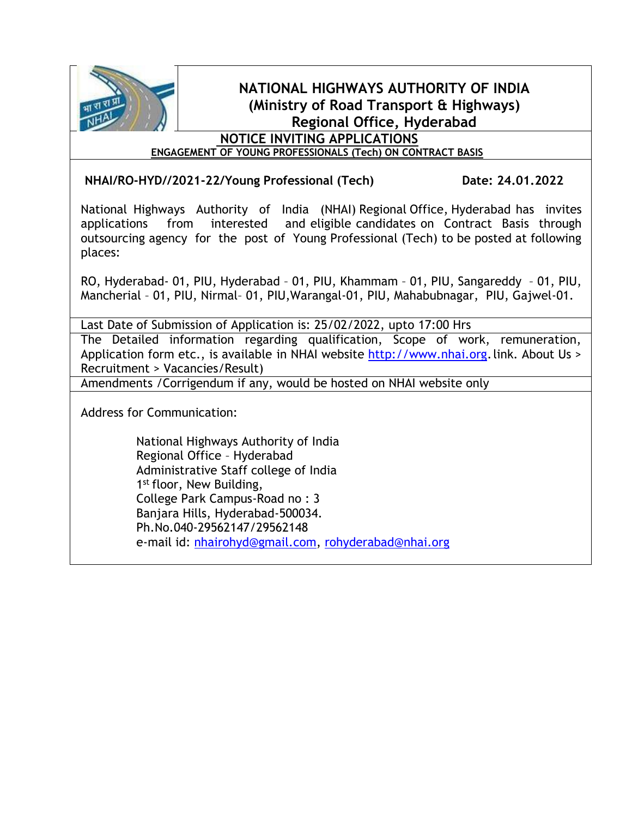

# **NATIONAL HIGHWAYS AUTHORITY OF INDIA (Ministry of Road Transport & Highways) Regional Office, Hyderabad**

# **NOTICE INVITING APPLICATIONS**

**ENGAGEMENT OF YOUNG PROFESSIONALS (Tech) ON CONTRACT BASIS**

**NHAI/RO-HYD//2021-22/Young Professional (Tech) Date: 24.01.2022**

National Highways Authority of India (NHAI) Regional Office, Hyderabad has invites applications from interested and eligible candidates on Contract Basis through outsourcing agency for the post of Young Professional (Tech) to be posted at following places:

RO, Hyderabad- 01, PIU, Hyderabad – 01, PIU, Khammam – 01, PIU, Sangareddy – 01, PIU, Mancherial – 01, PIU, Nirmal– 01, PIU,Warangal-01, PIU, Mahabubnagar, PIU, Gajwel-01.

Last Date of Submission of Application is: 25/02/2022, upto 17:00 Hrs

The Detailed information regarding qualification, Scope of work, remuneration, Application form etc., is available in NHAI website [http://www.nhai.org.](http://www.nhai.org/)link. About Us > Recruitment > Vacancies/Result)

Amendments /Corrigendum if any, would be hosted on NHAI website only

Address for Communication:

National Highways Authority of India Regional Office – Hyderabad Administrative Staff college of India 1<sup>st</sup> floor, New Building, College Park Campus-Road no : 3 Banjara Hills, Hyderabad-500034. Ph.No.040-29562147/29562148 e-mail id: [nhairohyd@gmail.com,](mailto:nhairohyd@gmail.com) [rohyderabad@nhai.org](mailto:rohyderabad@nhai.org)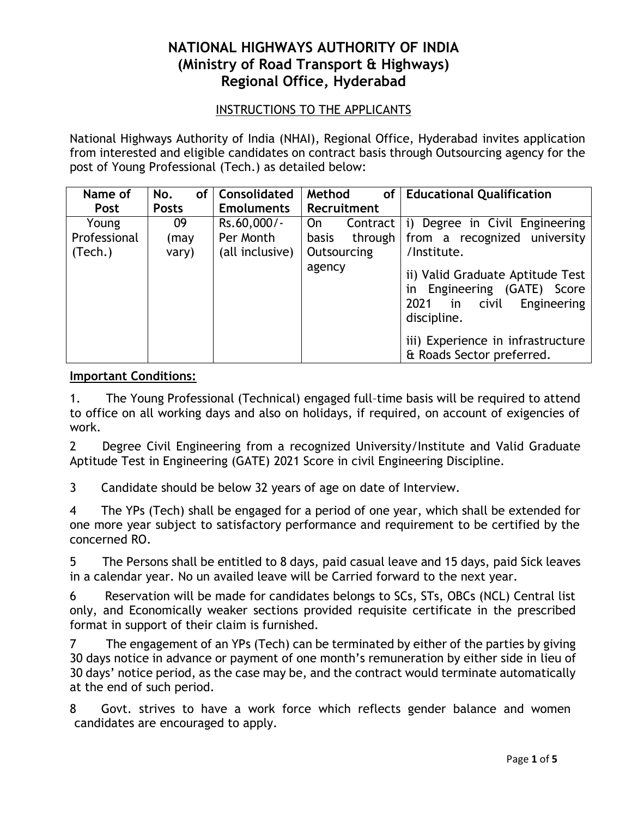## **NATIONAL HIGHWAYS AUTHORITY OF INDIA (Ministry of Road Transport & Highways) Regional Office, Hyderabad**

### INSTRUCTIONS TO THE APPLICANTS

National Highways Authority of India (NHAI), Regional Office, Hyderabad invites application from interested and eligible candidates on contract basis through Outsourcing agency for the post of Young Professional (Tech.) as detailed below:

| Name of      | No.          | of   Consolidated | Method<br>of <sup>1</sup> | <b>Educational Qualification</b>                                                                                                                                                          |
|--------------|--------------|-------------------|---------------------------|-------------------------------------------------------------------------------------------------------------------------------------------------------------------------------------------|
| <b>Post</b>  | <b>Posts</b> | <b>Emoluments</b> | Recruitment               |                                                                                                                                                                                           |
| Young        | 09           | Rs.60,000/-       | Contract<br>On.           | i) Degree in Civil Engineering                                                                                                                                                            |
| Professional | (may         | Per Month         | through<br><b>basis</b>   | from a recognized university                                                                                                                                                              |
| (Tech.)      | vary)        | (all inclusive)   | Outsourcing               | /Institute.                                                                                                                                                                               |
|              |              |                   | agency                    | ii) Valid Graduate Aptitude Test<br>in Engineering (GATE)<br>Score<br>Engineering<br>2021<br>in<br>civil<br>discipline.<br>iii) Experience in infrastructure<br>& Roads Sector preferred. |

#### **Important Conditions:**

1. The Young Professional (Technical) engaged full–time basis will be required to attend to office on all working days and also on holidays, if required, on account of exigencies of work.

2 Degree Civil Engineering from a recognized University/Institute and Valid Graduate Aptitude Test in Engineering (GATE) 2021 Score in civil Engineering Discipline.

3 Candidate should be below 32 years of age on date of Interview.

4 The YPs (Tech) shall be engaged for a period of one year, which shall be extended for one more year subject to satisfactory performance and requirement to be certified by the concerned RO.

5 The Persons shall be entitled to 8 days, paid casual leave and 15 days, paid Sick leaves in a calendar year. No un availed leave will be Carried forward to the next year.

6 Reservation will be made for candidates belongs to SCs, STs, OBCs (NCL) Central list only, and Economically weaker sections provided requisite certificate in the prescribed format in support of their claim is furnished.

7 The engagement of an YPs (Tech) can be terminated by either of the parties by giving 30 days notice in advance or payment of one month's remuneration by either side in lieu of 30 days' notice period, as the case may be, and the contract would terminate automatically at the end of such period.

8 Govt. strives to have a work force which reflects gender balance and women candidates are encouraged to apply.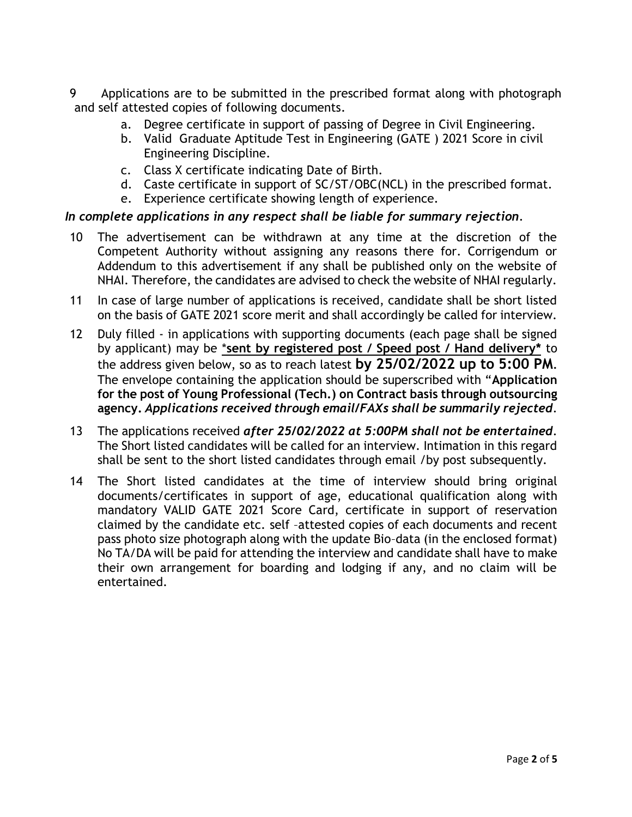9 Applications are to be submitted in the prescribed format along with photograph and self attested copies of following documents.

- a. Degree certificate in support of passing of Degree in Civil Engineering.
- b. Valid Graduate Aptitude Test in Engineering (GATE ) 2021 Score in civil Engineering Discipline.
- c. Class X certificate indicating Date of Birth.
- d. Caste certificate in support of SC/ST/OBC(NCL) in the prescribed format.
- e. Experience certificate showing length of experience.

### *In complete applications in any respect shall be liable for summary rejection*.

- 10 The advertisement can be withdrawn at any time at the discretion of the Competent Authority without assigning any reasons there for. Corrigendum or Addendum to this advertisement if any shall be published only on the website of NHAI. Therefore, the candidates are advised to check the website of NHAI regularly.
- 11 In case of large number of applications is received, candidate shall be short listed on the basis of GATE 2021 score merit and shall accordingly be called for interview.
- 12 Duly filled in applications with supporting documents (each page shall be signed by applicant) may be \***sent by registered post / Speed post / Hand delivery\*** to the address given below, so as to reach latest **by 25/02/2022 up to 5:00 PM***.* The envelope containing the application should be superscribed with "**Application for the post of Young Professional (Tech.) on Contract basis through outsourcing agency.** *Applications received through email/FAXs shall be summarily rejected*.
- 13 The applications received *after 25/02/2022 at 5:00PM shall not be entertained*. The Short listed candidates will be called for an interview. Intimation in this regard shall be sent to the short listed candidates through email /by post subsequently.
- 14 The Short listed candidates at the time of interview should bring original documents/certificates in support of age, educational qualification along with mandatory VALID GATE 2021 Score Card, certificate in support of reservation claimed by the candidate etc. self –attested copies of each documents and recent pass photo size photograph along with the update Bio–data (in the enclosed format) No TA/DA will be paid for attending the interview and candidate shall have to make their own arrangement for boarding and lodging if any, and no claim will be entertained.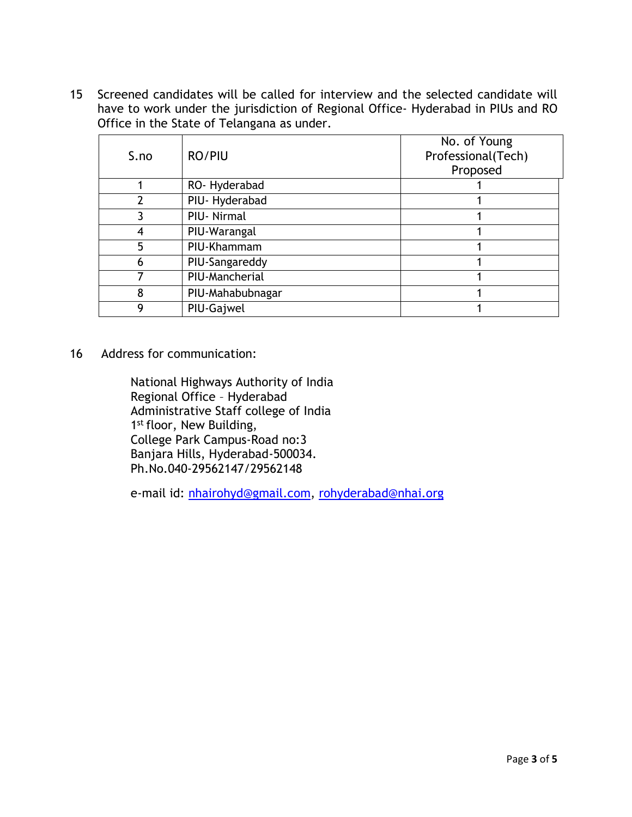15 Screened candidates will be called for interview and the selected candidate will have to work under the jurisdiction of Regional Office- Hyderabad in PIUs and RO Office in the State of Telangana as under.

| S.no | RO/PIU           | No. of Young<br>Professional(Tech)<br>Proposed |
|------|------------------|------------------------------------------------|
|      | RO-Hyderabad     |                                                |
| 2    | PIU-Hyderabad    |                                                |
|      | PIU-Nirmal       |                                                |
| 4    | PIU-Warangal     |                                                |
| 5    | PIU-Khammam      |                                                |
| 6    | PIU-Sangareddy   |                                                |
|      | PIU-Mancherial   |                                                |
| 8    | PIU-Mahabubnagar |                                                |
| q    | PIU-Gajwel       |                                                |

16 Address for communication:

National Highways Authority of India Regional Office – Hyderabad Administrative Staff college of India 1<sup>st</sup> floor, New Building, College Park Campus-Road no:3 Banjara Hills, Hyderabad-500034. Ph.No.040-29562147/29562148

e-mail id: [nhairohyd@gmail.com,](mailto:nhairohyd@gmail.com) [rohyderabad@nhai.org](mailto:rohyderabad@nhai.org)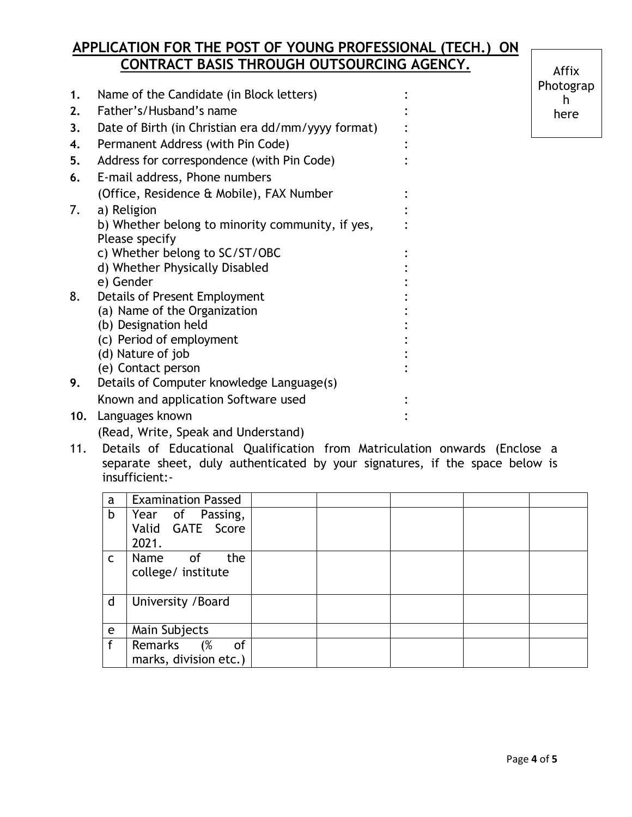# **APPLICATION FOR THE POST OF YOUNG PROFESSIONAL (TECH.) ON CONTRACT BASIS THROUGH OUTSOURCING AGENCY.**

| 1.  | Name of the Candidate (in Block letters)           |  |
|-----|----------------------------------------------------|--|
| 2.  | Father's/Husband's name                            |  |
| 3.  | Date of Birth (in Christian era dd/mm/yyyy format) |  |
| 4.  | Permanent Address (with Pin Code)                  |  |
| 5.  | Address for correspondence (with Pin Code)         |  |
| 6.  | E-mail address, Phone numbers                      |  |
|     | (Office, Residence & Mobile), FAX Number           |  |
| 7.  | a) Religion                                        |  |
|     | b) Whether belong to minority community, if yes,   |  |
|     | Please specify                                     |  |
|     | c) Whether belong to SC/ST/OBC                     |  |
|     | d) Whether Physically Disabled                     |  |
|     | e) Gender                                          |  |
| 8.  | Details of Present Employment                      |  |
|     | (a) Name of the Organization                       |  |
|     | (b) Designation held                               |  |
|     | (c) Period of employment                           |  |
|     | (d) Nature of job                                  |  |
|     | (e) Contact person                                 |  |
| 9.  | Details of Computer knowledge Language(s)          |  |
|     | Known and application Software used                |  |
| 10. | Languages known                                    |  |

(Read, Write, Speak and Understand)

11. Details of Educational Qualification from Matriculation onwards (Enclose a separate sheet, duly authenticated by your signatures, if the space below is insufficient:-

| a            | <b>Examination Passed</b>                     |  |  |  |
|--------------|-----------------------------------------------|--|--|--|
| b            | Year of Passing,<br>Valid GATE Score<br>2021. |  |  |  |
| $\mathsf{C}$ | the<br>Name<br>of<br>college/ institute       |  |  |  |
| d            | University / Board                            |  |  |  |
| $\mathbf e$  | Main Subjects                                 |  |  |  |
| f            | Remarks<br>(%<br>of<br>marks, division etc.)  |  |  |  |

Affix Photograp h here